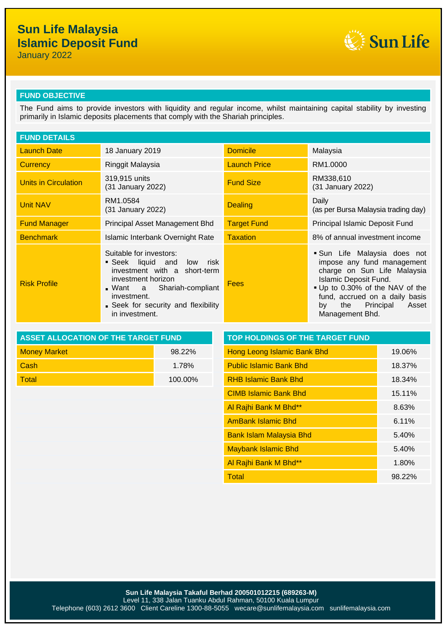# **Sun Life Malaysia Islamic Deposit Fund**

January 2022



### **FUND OBJECTIVE**

The Fund aims to provide investors with liquidity and regular income, whilst maintaining capital stability by investing primarily in Islamic deposits placements that comply with the Shariah principles.

| <b>FUND DETAILS</b>  |                                                                                                                                                                                                               |                     |                                                                                                                                                                                                                                             |  |
|----------------------|---------------------------------------------------------------------------------------------------------------------------------------------------------------------------------------------------------------|---------------------|---------------------------------------------------------------------------------------------------------------------------------------------------------------------------------------------------------------------------------------------|--|
| <b>Launch Date</b>   | 18 January 2019                                                                                                                                                                                               | <b>Domicile</b>     | Malaysia                                                                                                                                                                                                                                    |  |
| <b>Currency</b>      | Ringgit Malaysia                                                                                                                                                                                              | <b>Launch Price</b> | RM1.0000                                                                                                                                                                                                                                    |  |
| Units in Circulation | 319,915 units<br>(31 January 2022)                                                                                                                                                                            | <b>Fund Size</b>    | RM338,610<br>(31 January 2022)                                                                                                                                                                                                              |  |
| <b>Unit NAV</b>      | RM1.0584<br>(31 January 2022)                                                                                                                                                                                 | <b>Dealing</b>      | Daily<br>(as per Bursa Malaysia trading day)                                                                                                                                                                                                |  |
| <b>Fund Manager</b>  | Principal Asset Management Bhd                                                                                                                                                                                | <b>Target Fund</b>  | Principal Islamic Deposit Fund                                                                                                                                                                                                              |  |
| <b>Benchmark</b>     | Islamic Interbank Overnight Rate                                                                                                                                                                              | <b>Taxation</b>     | 8% of annual investment income                                                                                                                                                                                                              |  |
| <b>Risk Profile</b>  | Suitable for investors:<br>Seek liquid and low risk<br>investment with a short-term<br>investment horizon<br>Want a Shariah-compliant<br>investment.<br>• Seek for security and flexibility<br>in investment. | <b>Fees</b>         | Sun Life Malaysia does not<br>impose any fund management<br>charge on Sun Life Malaysia<br>Islamic Deposit Fund.<br>. Up to 0.30% of the NAV of the<br>fund, accrued on a daily basis<br>Asset<br>the<br>Principal<br>by<br>Management Bhd. |  |

| ASSET ALLOCATION OF THE TARGET FUND | <b>TOP HOLDINGS OF THE TARGET FUND</b> |                                    |  |
|-------------------------------------|----------------------------------------|------------------------------------|--|
| <b>Money Market</b>                 | 98.22%                                 | <b>Hong Leong Islamic Bank Bhd</b> |  |
| <b>Cash</b>                         | 1.78%                                  | <b>Public Islamic Bank Bhd</b>     |  |
| <b>Total</b>                        | 100.00%                                | <b>RHB Islamic Bank Bhd</b>        |  |

| <b>ASSET ALLOCATION OF THE TARGET FUND</b> |                                | <b>TOP HOLDINGS OF THE TARGET FUND</b> |  |  |
|--------------------------------------------|--------------------------------|----------------------------------------|--|--|
| 98.22%                                     | Hong Leong Islamic Bank Bhd    | 19.06%                                 |  |  |
| 1.78%                                      | <b>Public Islamic Bank Bhd</b> | 18.37%                                 |  |  |
| 100.00%                                    | <b>RHB Islamic Bank Bhd</b>    | 18.34%                                 |  |  |
|                                            | <b>CIMB Islamic Bank Bhd</b>   | 15.11%                                 |  |  |
|                                            | Al Rajhi Bank M Bhd**          | 8.63%                                  |  |  |
|                                            | <b>AmBank Islamic Bhd</b>      | 6.11%                                  |  |  |
|                                            | <b>Bank Islam Malaysia Bhd</b> | 5.40%                                  |  |  |
|                                            | <b>Maybank Islamic Bhd</b>     | 5.40%                                  |  |  |
|                                            | Al Rajhi Bank M Bhd**          | 1.80%                                  |  |  |
|                                            | <b>Total</b>                   | 98.22%                                 |  |  |
|                                            |                                |                                        |  |  |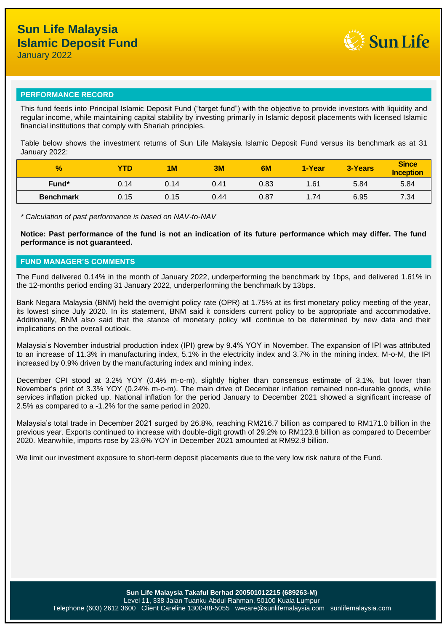

## **PERFORMANCE RECORD**

This fund feeds into Principal Islamic Deposit Fund ("target fund") with the objective to provide investors with liquidity and regular income, while maintaining capital stability by investing primarily in Islamic deposit placements with licensed Islamic financial institutions that comply with Shariah principles.

Table below shows the investment returns of Sun Life Malaysia Islamic Deposit Fund versus its benchmark as at 31 January 2022:

| $\frac{9}{6}$    | <b>YTD</b> | 1 <sub>M</sub> | 3M   | 6M   | 1-Year | 3-Years | <b>Since</b><br><b>Inception</b> |
|------------------|------------|----------------|------|------|--------|---------|----------------------------------|
| Fund*            | 0.14       | 0.14           | 0.41 | 0.83 | 1.61   | 5.84    | 5.84                             |
| <b>Benchmark</b> | 0.15       | 0.15           | 0.44 | 0.87 | 1.74   | 6.95    | 7.34                             |

*\* Calculation of past performance is based on NAV-to-NAV*

**Notice: Past performance of the fund is not an indication of its future performance which may differ. The fund performance is not guaranteed.**

#### **FUND MANAGER'S COMMENTS**

The Fund delivered 0.14% in the month of January 2022, underperforming the benchmark by 1bps, and delivered 1.61% in the 12-months period ending 31 January 2022, underperforming the benchmark by 13bps.

Bank Negara Malaysia (BNM) held the overnight policy rate (OPR) at 1.75% at its first monetary policy meeting of the year, its lowest since July 2020. In its statement, BNM said it considers current policy to be appropriate and accommodative. Additionally, BNM also said that the stance of monetary policy will continue to be determined by new data and their implications on the overall outlook.

Malaysia's November industrial production index (IPI) grew by 9.4% YOY in November. The expansion of IPI was attributed to an increase of 11.3% in manufacturing index, 5.1% in the electricity index and 3.7% in the mining index. M-o-M, the IPI increased by 0.9% driven by the manufacturing index and mining index.

December CPI stood at 3.2% YOY (0.4% m-o-m), slightly higher than consensus estimate of 3.1%, but lower than November's print of 3.3% YOY (0.24% m-o-m). The main drive of December inflation remained non-durable goods, while services inflation picked up. National inflation for the period January to December 2021 showed a significant increase of 2.5% as compared to a -1.2% for the same period in 2020.

Malaysia's total trade in December 2021 surged by 26.8%, reaching RM216.7 billion as compared to RM171.0 billion in the previous year. Exports continued to increase with double-digit growth of 29.2% to RM123.8 billion as compared to December 2020. Meanwhile, imports rose by 23.6% YOY in December 2021 amounted at RM92.9 billion.

We limit our investment exposure to short-term deposit placements due to the very low risk nature of the Fund.